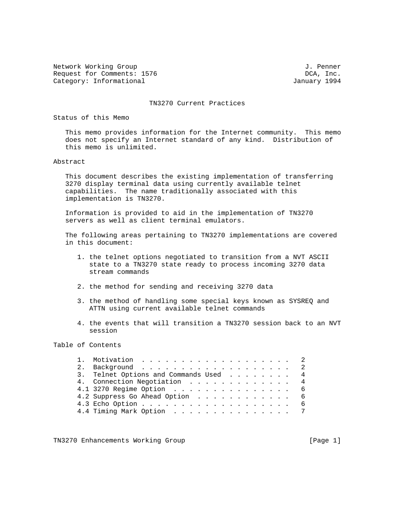Network Working Group 3. The Mathematic Methods of the Mathematic J. Penner Request for Comments: 1576 **DCA, Inc.** DCA, Inc. Category: Informational and Category: Informational According to the USA of the USA of the USA of the USA of the USA of the USA of the USA of the USA of the USA of the USA of the USA of the USA of the USA of the USA of the

#### TN3270 Current Practices

Status of this Memo

 This memo provides information for the Internet community. This memo does not specify an Internet standard of any kind. Distribution of this memo is unlimited.

#### Abstract

 This document describes the existing implementation of transferring 3270 display terminal data using currently available telnet capabilities. The name traditionally associated with this implementation is TN3270.

 Information is provided to aid in the implementation of TN3270 servers as well as client terminal emulators.

 The following areas pertaining to TN3270 implementations are covered in this document:

- 1. the telnet options negotiated to transition from a NVT ASCII state to a TN3270 state ready to process incoming 3270 data stream commands
- 2. the method for sending and receiving 3270 data
- 3. the method of handling some special keys known as SYSREQ and ATTN using current available telnet commands
- 4. the events that will transition a TN3270 session back to an NVT session

# Table of Contents

|  | 1. Motivation 2                       |  |
|--|---------------------------------------|--|
|  | 2. Background 2                       |  |
|  | 3. Telnet Options and Commands Used 4 |  |
|  | 4. Connection Negotiation 4           |  |
|  | 4.1 3270 Regime Option 6              |  |
|  | 4.2 Suppress Go Ahead Option 6        |  |
|  |                                       |  |
|  | 4.4 Timing Mark Option 7              |  |
|  |                                       |  |

TN3270 Enhancements Working Group and the control of the control of the control of the control of the control of the control of the control of the control of the control of the control of the control of the control of the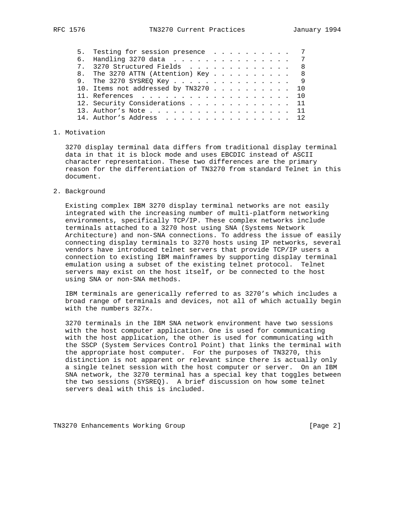| 5. Testing for session presence 7    |  |  |  |  |  |  |
|--------------------------------------|--|--|--|--|--|--|
| 6. Handling 3270 data 7              |  |  |  |  |  |  |
| 7. 3270 Structured Fields 8          |  |  |  |  |  |  |
| 8. The 3270 ATTN (Attention) Key 8   |  |  |  |  |  |  |
| 9. The 3270 SYSREQ Key 9             |  |  |  |  |  |  |
| 10. Items not addressed by TN3270 10 |  |  |  |  |  |  |
| 11. References 10                    |  |  |  |  |  |  |
| 12. Security Considerations 11       |  |  |  |  |  |  |
| 13. Author's Note $\ldots$ 11        |  |  |  |  |  |  |
| 14. Author's Address 12              |  |  |  |  |  |  |

## 1. Motivation

 3270 display terminal data differs from traditional display terminal data in that it is block mode and uses EBCDIC instead of ASCII character representation. These two differences are the primary reason for the differentiation of TN3270 from standard Telnet in this document.

2. Background

 Existing complex IBM 3270 display terminal networks are not easily integrated with the increasing number of multi-platform networking environments, specifically TCP/IP. These complex networks include terminals attached to a 3270 host using SNA (Systems Network Architecture) and non-SNA connections. To address the issue of easily connecting display terminals to 3270 hosts using IP networks, several vendors have introduced telnet servers that provide TCP/IP users a connection to existing IBM mainframes by supporting display terminal emulation using a subset of the existing telnet protocol. Telnet servers may exist on the host itself, or be connected to the host using SNA or non-SNA methods.

 IBM terminals are generically referred to as 3270's which includes a broad range of terminals and devices, not all of which actually begin with the numbers 327x.

 3270 terminals in the IBM SNA network environment have two sessions with the host computer application. One is used for communicating with the host application, the other is used for communicating with the SSCP (System Services Control Point) that links the terminal with the appropriate host computer. For the purposes of TN3270, this distinction is not apparent or relevant since there is actually only a single telnet session with the host computer or server. On an IBM SNA network, the 3270 terminal has a special key that toggles between the two sessions (SYSREQ). A brief discussion on how some telnet servers deal with this is included.

TN3270 Enhancements Working Group and the control of the control of the control of the control of the control of  $[Page 2]$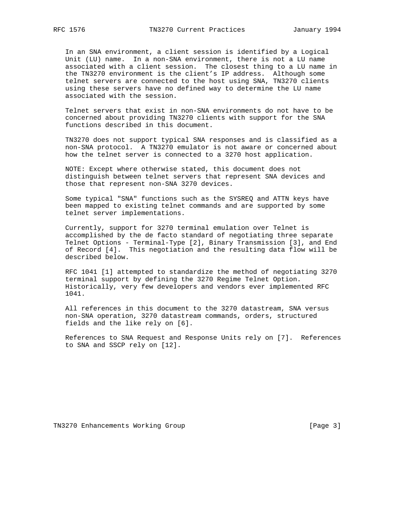In an SNA environment, a client session is identified by a Logical Unit (LU) name. In a non-SNA environment, there is not a LU name associated with a client session. The closest thing to a LU name in the TN3270 environment is the client's IP address. Although some telnet servers are connected to the host using SNA, TN3270 clients using these servers have no defined way to determine the LU name associated with the session.

 Telnet servers that exist in non-SNA environments do not have to be concerned about providing TN3270 clients with support for the SNA functions described in this document.

 TN3270 does not support typical SNA responses and is classified as a non-SNA protocol. A TN3270 emulator is not aware or concerned about how the telnet server is connected to a 3270 host application.

 NOTE: Except where otherwise stated, this document does not distinguish between telnet servers that represent SNA devices and those that represent non-SNA 3270 devices.

 Some typical "SNA" functions such as the SYSREQ and ATTN keys have been mapped to existing telnet commands and are supported by some telnet server implementations.

 Currently, support for 3270 terminal emulation over Telnet is accomplished by the de facto standard of negotiating three separate Telnet Options - Terminal-Type [2], Binary Transmission [3], and End of Record [4]. This negotiation and the resulting data flow will be described below.

 RFC 1041 [1] attempted to standardize the method of negotiating 3270 terminal support by defining the 3270 Regime Telnet Option. Historically, very few developers and vendors ever implemented RFC 1041.

 All references in this document to the 3270 datastream, SNA versus non-SNA operation, 3270 datastream commands, orders, structured fields and the like rely on [6].

 References to SNA Request and Response Units rely on [7]. References to SNA and SSCP rely on [12].

TN3270 Enhancements Working Group and the control of the control of the control of the control of the control of the control of the control of the control of the control of the control of the control of the control of the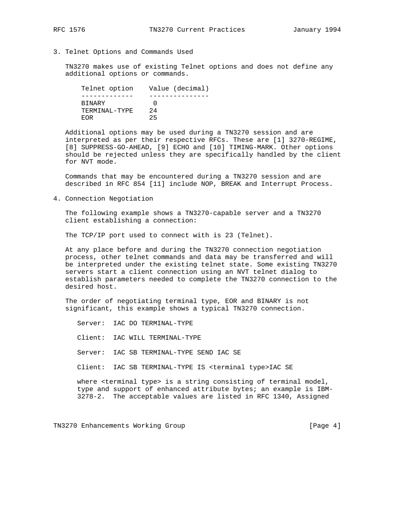- 
- 3. Telnet Options and Commands Used

 TN3270 makes use of existing Telnet options and does not define any additional options or commands.

| Telnet option | Value (decimal) |
|---------------|-----------------|
|               |                 |
| <b>BINARY</b> |                 |
| TERMINAL-TYPE | 2.4             |
| E.OR          | 25              |

 Additional options may be used during a TN3270 session and are interpreted as per their respective RFCs. These are [1] 3270-REGIME, [8] SUPPRESS-GO-AHEAD, [9] ECHO and [10] TIMING-MARK. Other options should be rejected unless they are specifically handled by the client for NVT mode.

 Commands that may be encountered during a TN3270 session and are described in RFC 854 [11] include NOP, BREAK and Interrupt Process.

4. Connection Negotiation

 The following example shows a TN3270-capable server and a TN3270 client establishing a connection:

The TCP/IP port used to connect with is 23 (Telnet).

 At any place before and during the TN3270 connection negotiation process, other telnet commands and data may be transferred and will be interpreted under the existing telnet state. Some existing TN3270 servers start a client connection using an NVT telnet dialog to establish parameters needed to complete the TN3270 connection to the desired host.

 The order of negotiating terminal type, EOR and BINARY is not significant, this example shows a typical TN3270 connection.

 Server: IAC DO TERMINAL-TYPE Client: IAC WILL TERMINAL-TYPE Server: IAC SB TERMINAL-TYPE SEND IAC SE Client: IAC SB TERMINAL-TYPE IS <terminal type>IAC SE where <terminal type> is a string consisting of terminal model, type and support of enhanced attribute bytes; an example is IBM-

3278-2. The acceptable values are listed in RFC 1340, Assigned

TN3270 Enhancements Working Group and the control of the control of the page 4]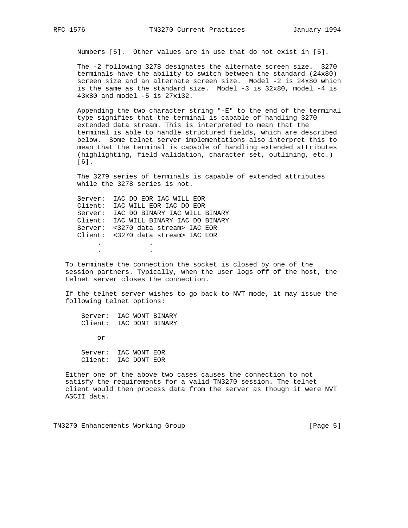Numbers [5]. Other values are in use that do not exist in [5].

 The -2 following 3278 designates the alternate screen size. 3270 terminals have the ability to switch between the standard (24x80) screen size and an alternate screen size. Model -2 is 24x80 which is the same as the standard size. Model -3 is 32x80, model -4 is 43x80 and model -5 is 27x132.

 Appending the two character string "-E" to the end of the terminal type signifies that the terminal is capable of handling 3270 extended data stream. This is interpreted to mean that the terminal is able to handle structured fields, which are described below. Some telnet server implementations also interpret this to mean that the terminal is capable of handling extended attributes (highlighting, field validation, character set, outlining, etc.) [6].

 The 3279 series of terminals is capable of extended attributes while the 3278 series is not.

 Server: IAC DO EOR IAC WILL EOR Client: IAC WILL EOR IAC DO EOR Server: IAC DO BINARY IAC WILL BINARY Client: IAC WILL BINARY IAC DO BINARY Server: <3270 data stream> IAC EOR Client: <3270 data stream> IAC EOR . .

 To terminate the connection the socket is closed by one of the session partners. Typically, when the user logs off of the host, the telnet server closes the connection.

 If the telnet server wishes to go back to NVT mode, it may issue the following telnet options:

 Server: IAC WONT BINARY Client: IAC DONT BINARY

or

. .

 Server: IAC WONT EOR Client: IAC DONT EOR

 Either one of the above two cases causes the connection to not satisfy the requirements for a valid TN3270 session. The telnet client would then process data from the server as though it were NVT ASCII data.

TN3270 Enhancements Working Group and the control of the control of the control of the control of the control of  $[Page 5]$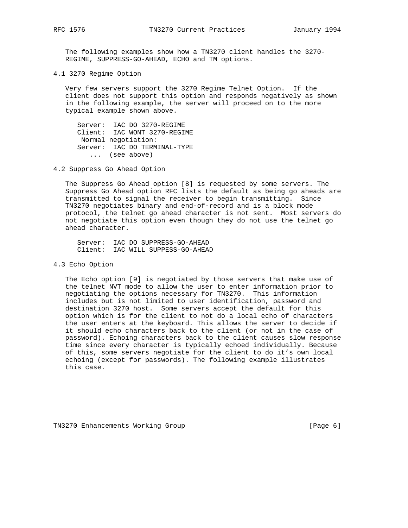The following examples show how a TN3270 client handles the 3270- REGIME, SUPPRESS-GO-AHEAD, ECHO and TM options.

4.1 3270 Regime Option

 Very few servers support the 3270 Regime Telnet Option. If the client does not support this option and responds negatively as shown in the following example, the server will proceed on to the more typical example shown above.

 Server: IAC DO 3270-REGIME Client: IAC WONT 3270-REGIME Normal negotiation: Server: IAC DO TERMINAL-TYPE ... (see above)

4.2 Suppress Go Ahead Option

 The Suppress Go Ahead option [8] is requested by some servers. The Suppress Go Ahead option RFC lists the default as being go aheads are transmitted to signal the receiver to begin transmitting. Since TN3270 negotiates binary and end-of-record and is a block mode protocol, the telnet go ahead character is not sent. Most servers do not negotiate this option even though they do not use the telnet go ahead character.

 Server: IAC DO SUPPRESS-GO-AHEAD Client: IAC WILL SUPPESS-GO-AHEAD

4.3 Echo Option

 The Echo option [9] is negotiated by those servers that make use of the telnet NVT mode to allow the user to enter information prior to negotiating the options necessary for TN3270. This information includes but is not limited to user identification, password and destination 3270 host. Some servers accept the default for this option which is for the client to not do a local echo of characters the user enters at the keyboard. This allows the server to decide if it should echo characters back to the client (or not in the case of password). Echoing characters back to the client causes slow response time since every character is typically echoed individually. Because of this, some servers negotiate for the client to do it's own local echoing (except for passwords). The following example illustrates this case.

TN3270 Enhancements Working Group and the control of the control of the control of the control of the control of the control of the control of the control of the control of the control of the control of the control of the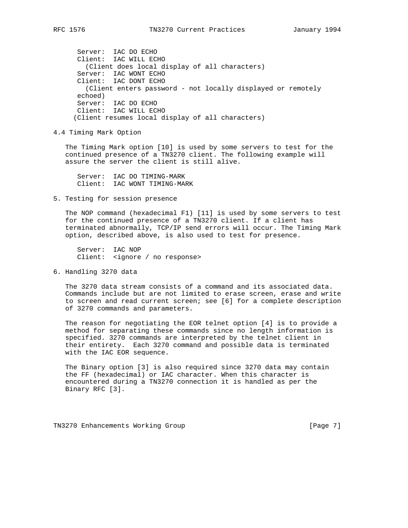Server: IAC DO ECHO Client: IAC WILL ECHO (Client does local display of all characters) Server: IAC WONT ECHO Client: IAC DONT ECHO (Client enters password - not locally displayed or remotely echoed) Server: IAC DO ECHO Client: IAC WILL ECHO (Client resumes local display of all characters)

4.4 Timing Mark Option

 The Timing Mark option [10] is used by some servers to test for the continued presence of a TN3270 client. The following example will assure the server the client is still alive.

 Server: IAC DO TIMING-MARK Client: IAC WONT TIMING-MARK

## 5. Testing for session presence

 The NOP command (hexadecimal F1) [11] is used by some servers to test for the continued presence of a TN3270 client. If a client has terminated abnormally, TCP/IP send errors will occur. The Timing Mark option, described above, is also used to test for presence.

 Server: IAC NOP Client: <ignore / no response>

6. Handling 3270 data

 The 3270 data stream consists of a command and its associated data. Commands include but are not limited to erase screen, erase and write to screen and read current screen; see [6] for a complete description of 3270 commands and parameters.

 The reason for negotiating the EOR telnet option [4] is to provide a method for separating these commands since no length information is specified. 3270 commands are interpreted by the telnet client in their entirety. Each 3270 command and possible data is terminated with the IAC EOR sequence.

 The Binary option [3] is also required since 3270 data may contain the FF (hexadecimal) or IAC character. When this character is encountered during a TN3270 connection it is handled as per the Binary RFC [3].

TN3270 Enhancements Working Group [Page 7]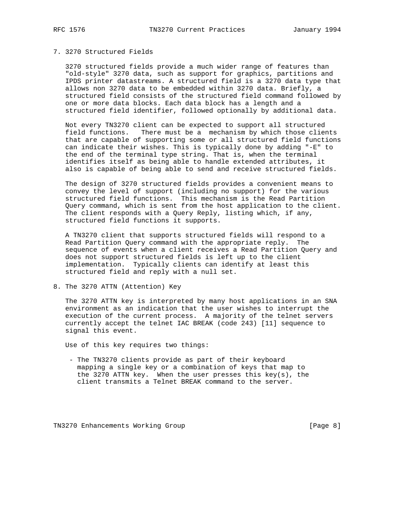## 7. 3270 Structured Fields

 3270 structured fields provide a much wider range of features than "old-style" 3270 data, such as support for graphics, partitions and IPDS printer datastreams. A structured field is a 3270 data type that allows non 3270 data to be embedded within 3270 data. Briefly, a structured field consists of the structured field command followed by one or more data blocks. Each data block has a length and a structured field identifier, followed optionally by additional data.

 Not every TN3270 client can be expected to support all structured field functions. There must be a mechanism by which those clients that are capable of supporting some or all structured field functions can indicate their wishes. This is typically done by adding "-E" to the end of the terminal type string. That is, when the terminal identifies itself as being able to handle extended attributes, it also is capable of being able to send and receive structured fields.

 The design of 3270 structured fields provides a convenient means to convey the level of support (including no support) for the various structured field functions. This mechanism is the Read Partition Query command, which is sent from the host application to the client. The client responds with a Query Reply, listing which, if any, structured field functions it supports.

 A TN3270 client that supports structured fields will respond to a Read Partition Query command with the appropriate reply. The sequence of events when a client receives a Read Partition Query and does not support structured fields is left up to the client implementation. Typically clients can identify at least this structured field and reply with a null set.

8. The 3270 ATTN (Attention) Key

 The 3270 ATTN key is interpreted by many host applications in an SNA environment as an indication that the user wishes to interrupt the execution of the current process. A majority of the telnet servers currently accept the telnet IAC BREAK (code 243) [11] sequence to signal this event.

Use of this key requires two things:

 - The TN3270 clients provide as part of their keyboard mapping a single key or a combination of keys that map to the 3270 ATTN key. When the user presses this  $key(s)$ , the client transmits a Telnet BREAK command to the server.

TN3270 Enhancements Working Group and the control of the control of the page 8]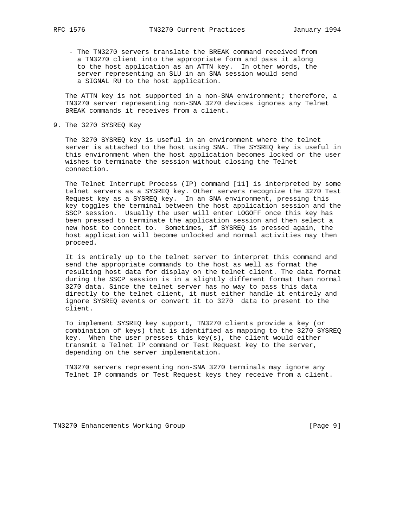- The TN3270 servers translate the BREAK command received from a TN3270 client into the appropriate form and pass it along to the host application as an ATTN key. In other words, the server representing an SLU in an SNA session would send a SIGNAL RU to the host application.

 The ATTN key is not supported in a non-SNA environment; therefore, a TN3270 server representing non-SNA 3270 devices ignores any Telnet BREAK commands it receives from a client.

9. The 3270 SYSREQ Key

 The 3270 SYSREQ key is useful in an environment where the telnet server is attached to the host using SNA. The SYSREQ key is useful in this environment when the host application becomes locked or the user wishes to terminate the session without closing the Telnet connection.

 The Telnet Interrupt Process (IP) command [11] is interpreted by some telnet servers as a SYSREQ key. Other servers recognize the 3270 Test Request key as a SYSREQ key. In an SNA environment, pressing this key toggles the terminal between the host application session and the SSCP session. Usually the user will enter LOGOFF once this key has been pressed to terminate the application session and then select a new host to connect to. Sometimes, if SYSREQ is pressed again, the host application will become unlocked and normal activities may then proceed.

 It is entirely up to the telnet server to interpret this command and send the appropriate commands to the host as well as format the resulting host data for display on the telnet client. The data format during the SSCP session is in a slightly different format than normal 3270 data. Since the telnet server has no way to pass this data directly to the telnet client, it must either handle it entirely and ignore SYSREQ events or convert it to 3270 data to present to the client.

 To implement SYSREQ key support, TN3270 clients provide a key (or combination of keys) that is identified as mapping to the 3270 SYSREQ key. When the user presses this  $key(s)$ , the client would either transmit a Telnet IP command or Test Request key to the server, depending on the server implementation.

 TN3270 servers representing non-SNA 3270 terminals may ignore any Telnet IP commands or Test Request keys they receive from a client.

TN3270 Enhancements Working Group and the control of the control of the page 9]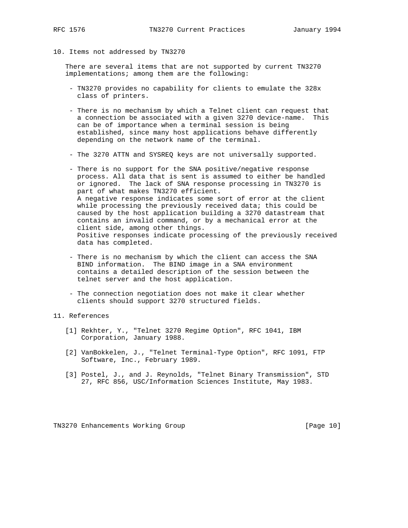- 
- 10. Items not addressed by TN3270

 There are several items that are not supported by current TN3270 implementations; among them are the following:

- TN3270 provides no capability for clients to emulate the 328x class of printers.
- There is no mechanism by which a Telnet client can request that a connection be associated with a given 3270 device-name. This can be of importance when a terminal session is being established, since many host applications behave differently depending on the network name of the terminal.
- The 3270 ATTN and SYSREQ keys are not universally supported.
- There is no support for the SNA positive/negative response process. All data that is sent is assumed to either be handled or ignored. The lack of SNA response processing in TN3270 is part of what makes TN3270 efficient. A negative response indicates some sort of error at the client while processing the previously received data; this could be caused by the host application building a 3270 datastream that contains an invalid command, or by a mechanical error at the client side, among other things. Positive responses indicate processing of the previously received data has completed.
- There is no mechanism by which the client can access the SNA BIND information. The BIND image in a SNA environment contains a detailed description of the session between the telnet server and the host application.
- The connection negotiation does not make it clear whether clients should support 3270 structured fields.

11. References

- [1] Rekhter, Y., "Telnet 3270 Regime Option", RFC 1041, IBM Corporation, January 1988.
- [2] VanBokkelen, J., "Telnet Terminal-Type Option", RFC 1091, FTP Software, Inc., February 1989.
- [3] Postel, J., and J. Reynolds, "Telnet Binary Transmission", STD 27, RFC 856, USC/Information Sciences Institute, May 1983.

TN3270 Enhancements Working Group [Page 10]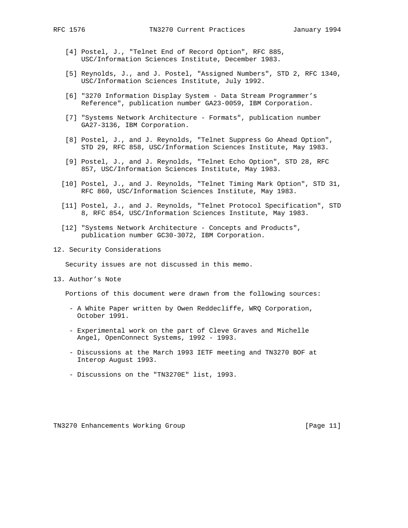- [4] Postel, J., "Telnet End of Record Option", RFC 885, USC/Information Sciences Institute, December 1983.
- [5] Reynolds, J., and J. Postel, "Assigned Numbers", STD 2, RFC 1340, USC/Information Sciences Institute, July 1992.
- [6] "3270 Information Display System Data Stream Programmer's Reference", publication number GA23-0059, IBM Corporation.
- [7] "Systems Network Architecture Formats", publication number GA27-3136, IBM Corporation.
- [8] Postel, J., and J. Reynolds, "Telnet Suppress Go Ahead Option", STD 29, RFC 858, USC/Information Sciences Institute, May 1983.
- [9] Postel, J., and J. Reynolds, "Telnet Echo Option", STD 28, RFC 857, USC/Information Sciences Institute, May 1983.
- [10] Postel, J., and J. Reynolds, "Telnet Timing Mark Option", STD 31, RFC 860, USC/Information Sciences Institute, May 1983.
- [11] Postel, J., and J. Reynolds, "Telnet Protocol Specification", STD 8, RFC 854, USC/Information Sciences Institute, May 1983.
- [12] "Systems Network Architecture Concepts and Products", publication number GC30-3072, IBM Corporation.
- 12. Security Considerations

Security issues are not discussed in this memo.

13. Author's Note

Portions of this document were drawn from the following sources:

- A White Paper written by Owen Reddecliffe, WRQ Corporation, October 1991.
- Experimental work on the part of Cleve Graves and Michelle Angel, OpenConnect Systems, 1992 - 1993.
- Discussions at the March 1993 IETF meeting and TN3270 BOF at Interop August 1993.
- Discussions on the "TN3270E" list, 1993.

TN3270 Enhancements Working Group [Page 11]